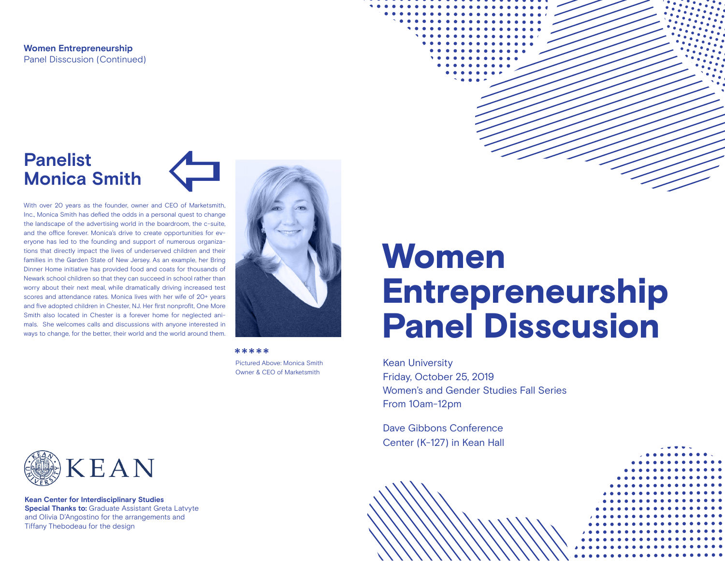**Women Entrepreneurship** Panel Disscusion (Continued)

### **Panelist Monica Smith**  $\leftarrow$

With over 20 years as the founder, owner and CEO of Marketsmith, Inc., Monica Smith has defied the odds in a personal quest to change the landscape of the advertising world in the boardroom, the c-suite, and the office forever. Monica's drive to create opportunities for everyone has led to the founding and support of numerous organizations that directly impact the lives of underserved children and their families in the Garden State of New Jersey. As an example, her Bring Dinner Home initiative has provided food and coats for thousands of Newark school children so that they can succeed in school rather than worry about their next meal, while dramatically driving increased test scores and attendance rates. Monica lives with her wife of 20+ years and five adopted children in Chester, NJ. Her first nonprofit, One More Smith also located in Chester is a forever home for neglected animals. She welcomes calls and discussions with anyone interested in ways to change, for the better, their world and the world around them.



Pictured Above: Monica Smith Owner & CEO of Marketsmith \*\*\*\*\*

# Women Entrepreneurship Panel Disscusion

Kean University Friday, October 25, 2019 Women's and Gender Studies Fall Series From 10am-12pm

Dave Gibbons Conference Center (K-127) in Kean Hall



**Special Thanks to: Graduate Assistant Greta Latvyte** and Olivia D'Angostino for the arrangements and Tiffany Thebodeau for the design **Kean Center for Interdisciplinary Studies**